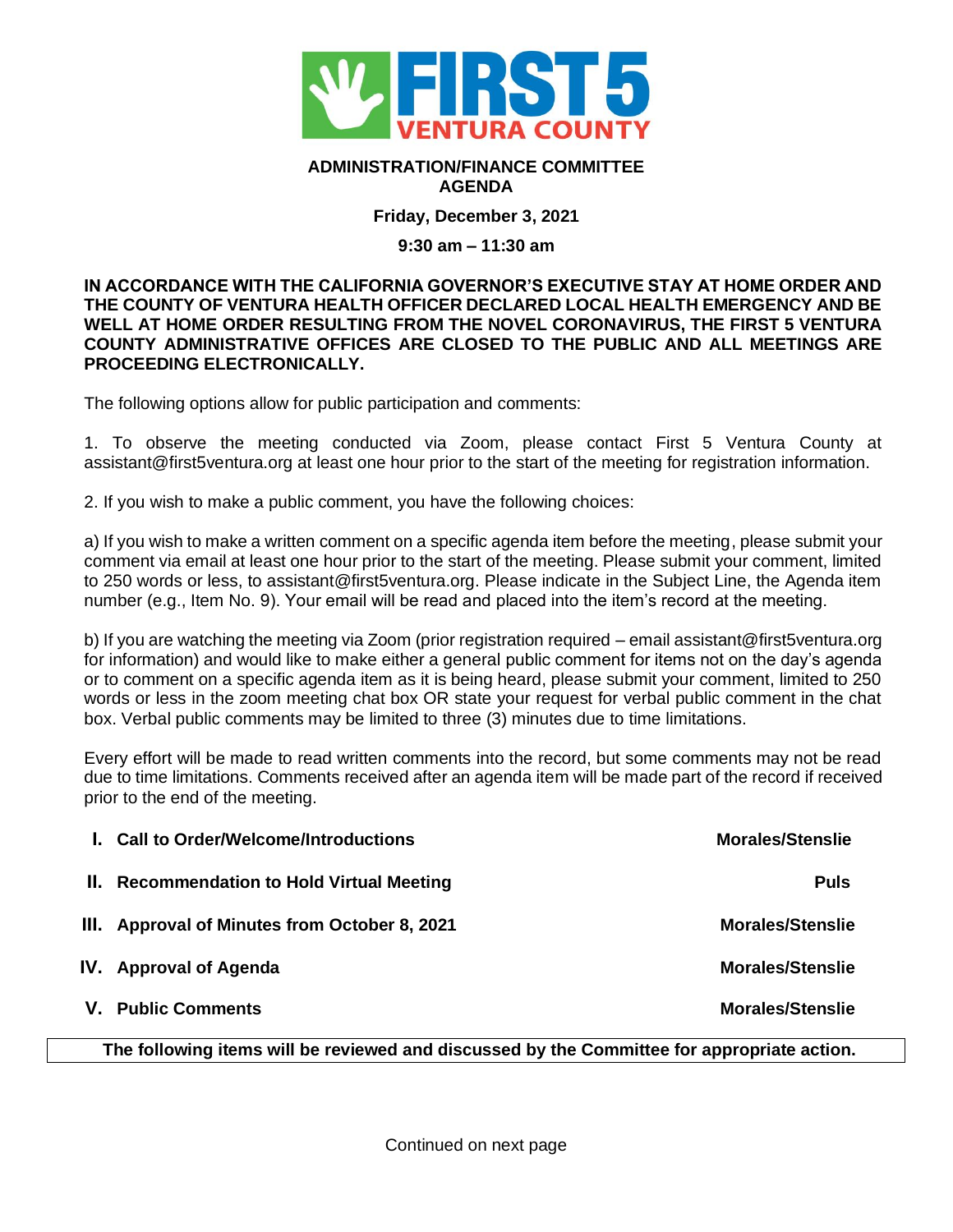

## **ADMINISTRATION/FINANCE COMMITTEE AGENDA**

**Friday, December 3, 2021**

## **9:30 am – 11:30 am**

**IN ACCORDANCE WITH THE CALIFORNIA GOVERNOR'S EXECUTIVE STAY AT HOME ORDER AND THE COUNTY OF VENTURA HEALTH OFFICER DECLARED LOCAL HEALTH EMERGENCY AND BE WELL AT HOME ORDER RESULTING FROM THE NOVEL CORONAVIRUS, THE FIRST 5 VENTURA COUNTY ADMINISTRATIVE OFFICES ARE CLOSED TO THE PUBLIC AND ALL MEETINGS ARE PROCEEDING ELECTRONICALLY.** 

The following options allow for public participation and comments:

1. To observe the meeting conducted via Zoom, please contact First 5 Ventura County at assistant@first5ventura.org at least one hour prior to the start of the meeting for registration information.

2. If you wish to make a public comment, you have the following choices:

a) If you wish to make a written comment on a specific agenda item before the meeting, please submit your comment via email at least one hour prior to the start of the meeting. Please submit your comment, limited to 250 words or less, to assistant@first5ventura.org. Please indicate in the Subject Line, the Agenda item number (e.g., Item No. 9). Your email will be read and placed into the item's record at the meeting.

b) If you are watching the meeting via Zoom (prior registration required – email assistant@first5ventura.org for information) and would like to make either a general public comment for items not on the day's agenda or to comment on a specific agenda item as it is being heard, please submit your comment, limited to 250 words or less in the zoom meeting chat box OR state your request for verbal public comment in the chat box. Verbal public comments may be limited to three (3) minutes due to time limitations.

Every effort will be made to read written comments into the record, but some comments may not be read due to time limitations. Comments received after an agenda item will be made part of the record if received prior to the end of the meeting.

|                                                                                             | <b>I.</b> Call to Order/Welcome/Introductions | <b>Morales/Stenslie</b> |  |
|---------------------------------------------------------------------------------------------|-----------------------------------------------|-------------------------|--|
|                                                                                             | II. Recommendation to Hold Virtual Meeting    | <b>Puls</b>             |  |
|                                                                                             | III. Approval of Minutes from October 8, 2021 | <b>Morales/Stenslie</b> |  |
|                                                                                             | IV. Approval of Agenda                        | <b>Morales/Stenslie</b> |  |
|                                                                                             | V. Public Comments                            | <b>Morales/Stenslie</b> |  |
| The following items will be reviewed and discussed by the Committee for appropriate action. |                                               |                         |  |